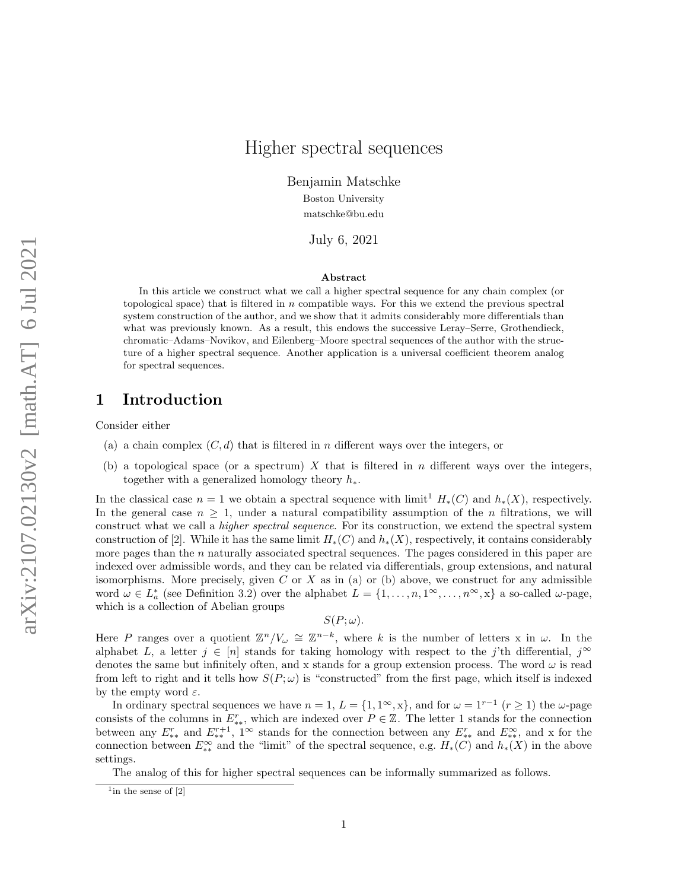# Higher spectral sequences

Benjamin Matschke Boston University matschke@bu.edu

July 6, 2021

#### Abstract

In this article we construct what we call a higher spectral sequence for any chain complex (or topological space) that is filtered in  $n$  compatible ways. For this we extend the previous spectral system construction of the author, and we show that it admits considerably more differentials than what was previously known. As a result, this endows the successive Leray–Serre, Grothendieck, chromatic–Adams–Novikov, and Eilenberg–Moore spectral sequences of the author with the structure of a higher spectral sequence. Another application is a universal coefficient theorem analog for spectral sequences.

### 1 Introduction

<span id="page-0-1"></span>Consider either

- (a) a chain complex  $(C, d)$  that is filtered in n different ways over the integers, or
- <span id="page-0-2"></span>(b) a topological space (or a spectrum) X that is filtered in n different ways over the integers, together with a generalized homology theory  $h_*$ .

In the classical case  $n = 1$  $n = 1$  we obtain a spectral sequence with limit<sup>1</sup>  $H_*(C)$  and  $h_*(X)$ , respectively. In the general case  $n \geq 1$ , under a natural compatibility assumption of the *n* filtrations, we will construct what we call a *higher spectral sequence*. For its construction, we extend the spectral system construction of [\[2\]](#page-12-0). While it has the same limit  $H_*(C)$  and  $h_*(X)$ , respectively, it contains considerably more pages than the  $n$  naturally associated spectral sequences. The pages considered in this paper are indexed over admissible words, and they can be related via differentials, group extensions, and natural isomorphisms. More precisely, given  $C$  or  $X$  as in [\(a\)](#page-0-1) or [\(b\)](#page-0-2) above, we construct for any admissible word  $\omega \in L^*_a$  (see Definition [3.2\)](#page-4-0) over the alphabet  $L = \{1, \ldots, n, 1^{\infty}, \ldots, n^{\infty}, x\}$  a so-called  $\omega$ -page, which is a collection of Abelian groups

$$
S(P; \omega).
$$

Here P ranges over a quotient  $\mathbb{Z}^n/V_\omega \cong \mathbb{Z}^{n-k}$ , where k is the number of letters x in  $\omega$ . In the alphabet L, a letter  $j \in [n]$  stands for taking homology with respect to the j'th differential,  $j^{\infty}$ denotes the same but infinitely often, and x stands for a group extension process. The word  $\omega$  is read from left to right and it tells how  $S(P; \omega)$  is "constructed" from the first page, which itself is indexed by the empty word  $\varepsilon$ .

In ordinary spectral sequences we have  $n = 1, L = \{1, 1^{\infty}, x\}$ , and for  $\omega = 1^{r-1}$   $(r \ge 1)$  the  $\omega$ -page consists of the columns in  $E_{**}^r$ , which are indexed over  $P \in \mathbb{Z}$ . The letter 1 stands for the connection between any  $E_{**}^r$  and  $E_{**}^{r+1}$ , 1<sup>∞</sup> stands for the connection between any  $E_{**}^r$  and  $E_{**}^\infty$ , and x for the connection between  $E_{**}^{\infty}$  and the "limit" of the spectral sequence, e.g.  $H_*(C)$  and  $h_*(X)$  in the above settings.

The analog of this for higher spectral sequences can be informally summarized as follows.

<span id="page-0-0"></span> $\frac{1}{2}$  in the sense of  $[2]$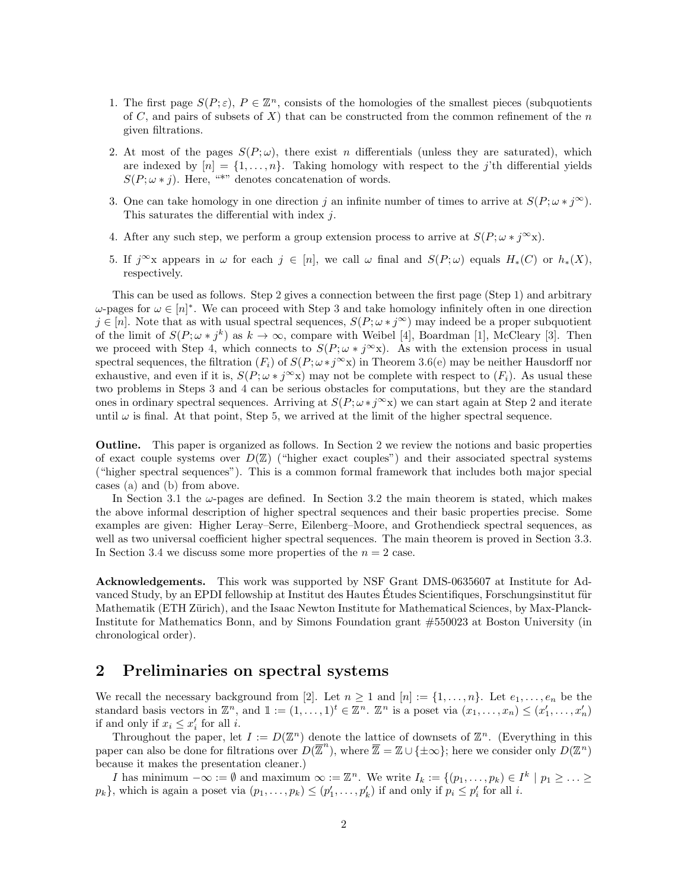- <span id="page-1-1"></span>1. The first page  $S(P; \varepsilon)$ ,  $P \in \mathbb{Z}^n$ , consists of the homologies of the smallest pieces (subquotients of C, and pairs of subsets of X) that can be constructed from the common refinement of the  $n$ given filtrations.
- <span id="page-1-0"></span>2. At most of the pages  $S(P;\omega)$ , there exist n differentials (unless they are saturated), which are indexed by  $[n] = \{1, \ldots, n\}$ . Taking homology with respect to the j'th differential yields  $S(P; \omega * j)$ . Here, "\*" denotes concatenation of words.
- <span id="page-1-2"></span>3. One can take homology in one direction j an infinite number of times to arrive at  $S(P; \omega * j^{\infty})$ . This saturates the differential with index  $j$ .
- <span id="page-1-3"></span>4. After any such step, we perform a group extension process to arrive at  $S(P; \omega * j^{\infty}x)$ .
- <span id="page-1-4"></span>5. If  $j^{\infty}$ x appears in  $\omega$  for each  $j \in [n]$ , we call  $\omega$  final and  $S(P;\omega)$  equals  $H_*(C)$  or  $h_*(X)$ , respectively.

This can be used as follows. Step [2](#page-1-0) gives a connection between the first page (Step [1\)](#page-1-1) and arbitrary  $ω$ -pages for  $ω ∈ [n]^*$ . We can proceed with Step [3](#page-1-2) and take homology infinitely often in one direction  $j \in [n]$ . Note that as with usual spectral sequences,  $S(P; \omega * j^{\infty})$  may indeed be a proper subquotient of the limit of  $S(P; \omega * j^k)$  as  $k \to \infty$ , compare with Weibel [\[4\]](#page-12-1), Boardman [\[1\]](#page-12-2), McCleary [\[3\]](#page-12-3). Then we proceed with Step [4,](#page-1-3) which connects to  $S(P; \omega * j^{\infty}x)$ . As with the extension process in usual spectral sequences, the filtration  $(F_i)$  of  $S(P; \omega * j^{\infty}x)$  in Theorem [3.6](#page-6-0)[\(e\)](#page-6-1) may be neither Hausdorff nor exhaustive, and even if it is,  $S(P; \omega * j^{\infty}x)$  may not be complete with respect to  $(F_i)$ . As usual these two problems in Steps [3](#page-1-2) and [4](#page-1-3) can be serious obstacles for computations, but they are the standard ones in ordinary spectral sequences. Arriving at  $S(P; \omega * j^{\infty}x)$  we can start again at Step [2](#page-1-0) and iterate until  $\omega$  is final. At that point, Step [5,](#page-1-4) we arrived at the limit of the higher spectral sequence.

Outline. This paper is organized as follows. In Section [2](#page-1-5) we review the notions and basic properties of exact couple systems over  $D(\mathbb{Z})$  ("higher exact couples") and their associated spectral systems ("higher spectral sequences"). This is a common formal framework that includes both major special cases [\(a\)](#page-0-1) and [\(b\)](#page-0-2) from above.

In Section [3.1](#page-4-1) the  $\omega$ -pages are defined. In Section [3.2](#page-6-2) the main theorem is stated, which makes the above informal description of higher spectral sequences and their basic properties precise. Some examples are given: Higher Leray–Serre, Eilenberg–Moore, and Grothendieck spectral sequences, as well as two universal coefficient higher spectral sequences. The main theorem is proved in Section [3.3.](#page-8-0) In Section [3.4](#page-11-0) we discuss some more properties of the  $n = 2$  case.

Acknowledgements. This work was supported by NSF Grant DMS-0635607 at Institute for Advanced Study, by an EPDI fellowship at Institut des Hautes Études Scientifiques, Forschungsinstitut für Mathematik (ETH Zürich), and the Isaac Newton Institute for Mathematical Sciences, by Max-Planck-Institute for Mathematics Bonn, and by Simons Foundation grant #550023 at Boston University (in chronological order).

## <span id="page-1-5"></span>2 Preliminaries on spectral systems

We recall the necessary background from [\[2\]](#page-12-0). Let  $n \geq 1$  and  $[n] := \{1, \ldots, n\}$ . Let  $e_1, \ldots, e_n$  be the standard basis vectors in  $\mathbb{Z}^n$ , and  $\mathbb{1} := (1, \ldots, 1)^t \in \mathbb{Z}^n$ .  $\mathbb{Z}^n$  is a poset via  $(x_1, \ldots, x_n) \leq (x'_1, \ldots, x'_n)$ if and only if  $x_i \leq x'_i$  for all *i*.

Throughout the paper, let  $I := D(\mathbb{Z}^n)$  denote the lattice of downsets of  $\mathbb{Z}^n$ . (Everything in this paper can also be done for filtrations over  $D(\overline{\mathbb{Z}}^n)$ , where  $\overline{\mathbb{Z}} = \mathbb{Z} \cup \{\pm \infty\}$ ; here we consider only  $D(\mathbb{Z}^n)$ because it makes the presentation cleaner.)

I has minimum  $-\infty := \emptyset$  and maximum  $\infty := \mathbb{Z}^n$ . We write  $I_k := \{(p_1, \ldots, p_k) \in I^k \mid p_1 \geq \ldots \geq 1\}$  $p_k$ , which is again a poset via  $(p_1, \ldots, p_k) \leq (p'_1, \ldots, p'_k)$  if and only if  $p_i \leq p'_i$  for all i.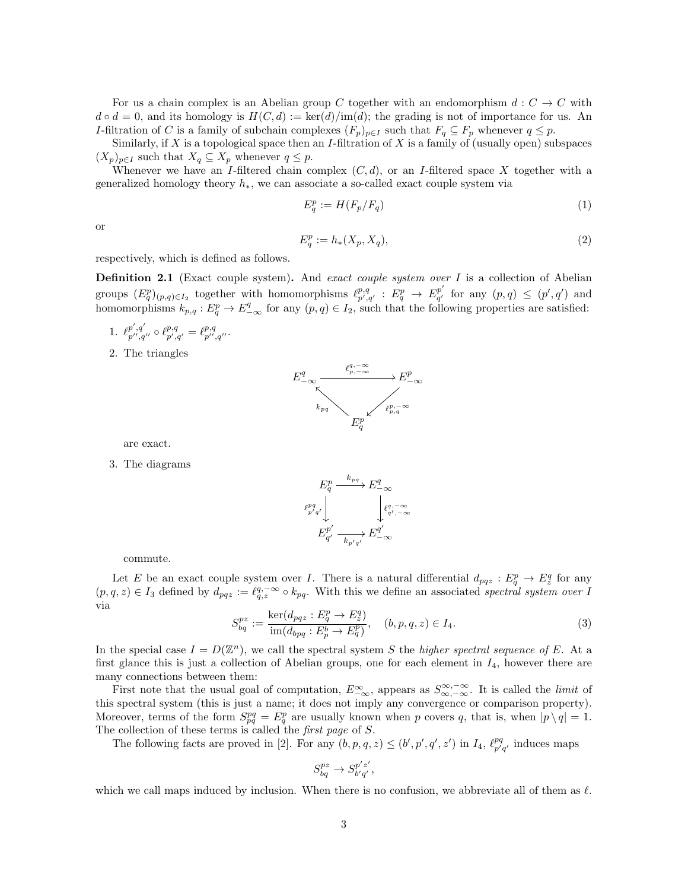For us a chain complex is an Abelian group C together with an endomorphism  $d: C \to C$  with  $d \circ d = 0$ , and its homology is  $H(C, d) := \text{ker}(d)/\text{im}(d)$ ; the grading is not of importance for us. An I-filtration of C is a family of subchain complexes  $(F_p)_{p\in I}$  such that  $F_q \subseteq F_p$  whenever  $q \leq p$ .

Similarly, if X is a topological space then an I-filtration of X is a family of (usually open) subspaces  $(X_p)_{p\in I}$  such that  $X_q \subseteq X_p$  whenever  $q \leq p$ .

Whenever we have an I-filtered chain complex  $(C, d)$ , or an I-filtered space X together with a generalized homology theory  $h_*,$  we can associate a so-called exact couple system via

<span id="page-2-1"></span>
$$
E_q^p := H(F_p/F_q) \tag{1}
$$

or

<span id="page-2-0"></span>
$$
E_q^p := h_*(X_p, X_q),\tag{2}
$$

respectively, which is defined as follows.

**Definition 2.1** (Exact couple system). And exact couple system over  $I$  is a collection of Abelian groups  $(E_q^p)_{(p,q)\in I_2}$  together with homomorphisms  $\ell_{p',q'}^{p,q} : E_q^p \to E_{q'}^{p'}$  $q'_{q'}$  for any  $(p,q) \leq (p',q')$  and homomorphisms  $k_{p,q}: E^p_q \to E^q_{-\infty}$  for any  $(p,q) \in I_2$ , such that the following properties are satisfied:

1. 
$$
\ell_{p'',q''}^{p',q'} \circ \ell_{p',q'}^{p,q} = \ell_{p'',q''}^{p,q}.
$$

2. The triangles



are exact.

3. The diagrams



commute.

Let E be an exact couple system over I. There is a natural differential  $d_{pqz}: E^p_q \to E^q_z$  for any  $(p,q,z) \in I_3$  defined by  $d_{pqz} := \ell_{q,z}^{q,-\infty} \circ k_{pq}$ . With this we define an associated spectral system over I via

$$
S_{bq}^{pz} := \frac{\ker(d_{pqz} : E_q^p \to E_z^q)}{\text{im}(d_{bpq} : E_p^b \to E_q^p)}, \quad (b, p, q, z) \in I_4.
$$
 (3)

In the special case  $I = D(\mathbb{Z}^n)$ , we call the spectral system S the higher spectral sequence of E. At a first glance this is just a collection of Abelian groups, one for each element in  $I_4$ , however there are many connections between them:

First note that the usual goal of computation,  $E^{\infty}_{-\infty}$ , appears as  $S^{\infty,-\infty}_{\infty,-\infty}$ . It is called the *limit* of this spectral system (this is just a name; it does not imply any convergence or comparison property). Moreover, terms of the form  $S_{pq}^{pq} = E_q^p$  are usually known when p covers q, that is, when  $|p \setminus q| = 1$ . The collection of these terms is called the first page of S.

The following facts are proved in [\[2\]](#page-12-0). For any  $(b, p, q, z) \le (b', p', q', z')$  in  $I_4$ ,  $\ell_{p'q'}^{pq}$  induces maps

$$
S_{bq}^{pz} \to S_{b'q'}^{p'z'},
$$

which we call maps induced by inclusion. When there is no confusion, we abbreviate all of them as  $\ell$ .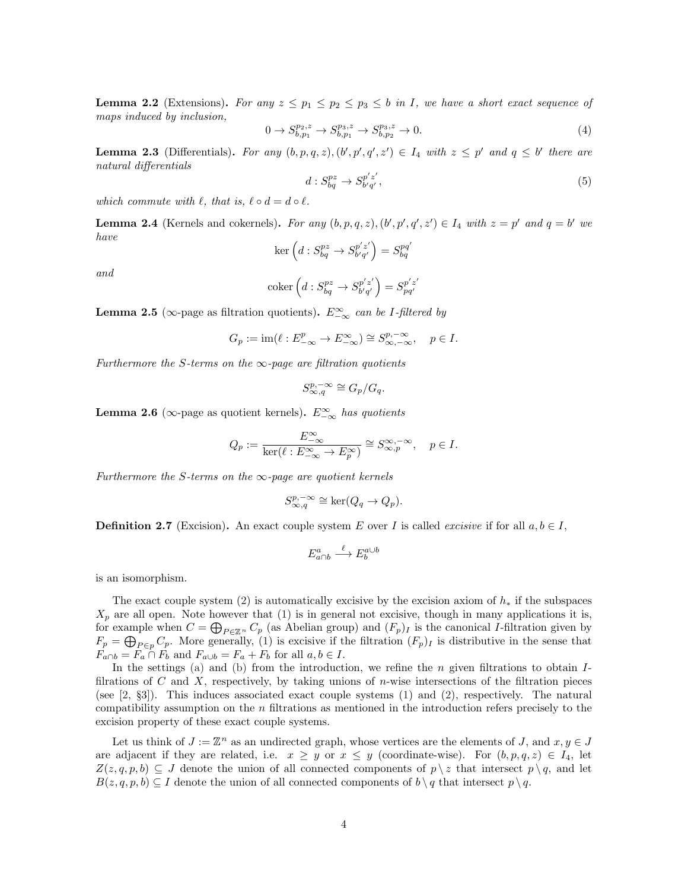<span id="page-3-2"></span>**Lemma 2.2** (Extensions). For any  $z \leq p_1 \leq p_2 \leq p_3 \leq b$  in I, we have a short exact sequence of maps induced by inclusion,

$$
0 \to S_{b,p_1}^{p_2,z} \to S_{b,p_1}^{p_3,z} \to S_{b,p_2}^{p_3,z} \to 0.
$$
\n<sup>(4)</sup>

<span id="page-3-0"></span>**Lemma 2.3** (Differentials). For any  $(b, p, q, z)$ ,  $(b', p', q', z') \in I_4$  with  $z \leq p'$  and  $q \leq b'$  there are natural differentials

$$
d: S_{bq}^{pz} \to S_{b'q'}^{p'z'},\tag{5}
$$

which commute with  $\ell$ , that is,  $\ell \circ d = d \circ \ell$ .

<span id="page-3-1"></span>**Lemma 2.4** (Kernels and cokernels). For any  $(b, p, q, z)$ ,  $(b', p', q', z') \in I_4$  with  $z = p'$  and  $q = b'$  we have

$$
\ker\left(d: S_{bq}^{pz} \to S_{b'q'}^{p'z'}\right) = S_{bq}^{pq'}
$$

and

$$
\operatorname{coker}\left(d:S^{pz}_{bq}\to S^{p'z'}_{b'q'}\right)=S^{p'z'}_{pq'}
$$

<span id="page-3-3"></span>**Lemma 2.5** ( $\infty$ -page as filtration quotients).  $E_{-\infty}^{\infty}$  can be *I*-filtered by

$$
G_p:=\operatorname{im}(\ell:E_{-\infty}^p\to E_{-\infty}^{\infty})\cong S_{\infty,-\infty}^{p,-\infty},\quad p\in I.
$$

Furthermore the S-terms on the  $\infty$ -page are filtration quotients

$$
S^{p,-\infty}_{\infty,q} \cong G_p/G_q.
$$

**Lemma 2.6** ( $\infty$ -page as quotient kernels).  $E_{-\infty}^{\infty}$  has quotients

$$
Q_p := \frac{E_{-\infty}^{\infty}}{\ker(\ell : E_{-\infty}^{\infty} \to E_p^{\infty})} \cong S_{\infty,p}^{\infty,-\infty}, \quad p \in I.
$$

Furthermore the S-terms on the  $\infty$ -page are quotient kernels

$$
S^{p,-\infty}_{\infty,q} \cong \ker(Q_q \to Q_p).
$$

**Definition 2.7** (Excision). An exact couple system E over I is called excisive if for all  $a, b \in I$ ,

$$
E^a_{a \cap b} \xrightarrow{\ell} E^{a \cup b}_b
$$

is an isomorphism.

The exact couple system [\(2\)](#page-2-0) is automatically excisive by the excision axiom of  $h_*$  if the subspaces  $X_p$  are all open. Note however that [\(1\)](#page-2-1) is in general not excisive, though in many applications it is, for example when  $C = \bigoplus_{P \in \mathbb{Z}^n} C_p$  (as Abelian group) and  $(F_p)_I$  is the canonical *I*-filtration given by  $F_p = \bigoplus_{P \in p} C_p$ . More generally, [\(1\)](#page-2-1) is excisive if the filtration  $(F_p)_I$  is distributive in the sense that  $F_{a \cap b} = F_a \cap F_b$  and  $F_{a \cup b} = F_a + F_b$  for all  $a, b \in I$ .

In the settings [\(a\)](#page-0-1) and [\(b\)](#page-0-2) from the introduction, we refine the  $n$  given filtrations to obtain  $I$ filrations of C and X, respectively, by taking unions of n-wise intersections of the filtration pieces (see [\[2,](#page-12-0) §3]). This induces associated exact couple systems [\(1\)](#page-2-1) and [\(2\)](#page-2-0), respectively. The natural compatibility assumption on the n filtrations as mentioned in the introduction refers precisely to the excision property of these exact couple systems.

Let us think of  $J := \mathbb{Z}^n$  as an undirected graph, whose vertices are the elements of J, and  $x, y \in J$ are adjacent if they are related, i.e.  $x \geq y$  or  $x \leq y$  (coordinate-wise). For  $(b, p, q, z) \in I_4$ , let  $Z(z, q, p, b) \subseteq J$  denote the union of all connected components of  $p \setminus z$  that intersect  $p \setminus q$ , and let  $B(z, q, p, b) \subseteq I$  denote the union of all connected components of  $b \setminus q$  that intersect  $p \setminus q$ .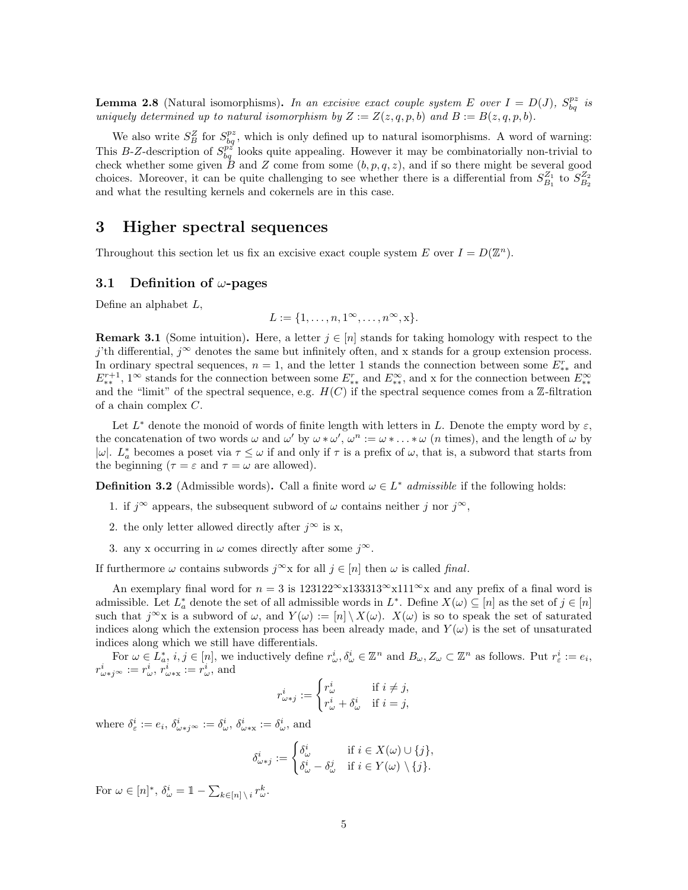**Lemma 2.8** (Natural isomorphisms). In an excisive exact couple system E over  $I = D(J)$ ,  $S_{bq}^{pz}$  is uniquely determined up to natural isomorphism by  $Z := Z(z, q, p, b)$  and  $B := B(z, q, p, b)$ .

We also write  $S_B^Z$  for  $S_{bq}^{pz}$ , which is only defined up to natural isomorphisms. A word of warning: This B-Z-description of  $S_{bq}^{\vec{p}z}$  looks quite appealing. However it may be combinatorially non-trivial to check whether some given B and Z come from some  $(b, p, q, z)$ , and if so there might be several good choices. Moreover, it can be quite challenging to see whether there is a differential from  $S_{B_1}^{Z_1}$  to  $S_{B_2}^{Z_2}$ and what the resulting kernels and cokernels are in this case.

### 3 Higher spectral sequences

Throughout this section let us fix an excisive exact couple system E over  $I = D(\mathbb{Z}^n)$ .

### <span id="page-4-1"></span>3.1 Definition of  $\omega$ -pages

Define an alphabet L,

$$
L := \{1, \ldots, n, 1^{\infty}, \ldots, n^{\infty}, x\}.
$$

**Remark 3.1** (Some intuition). Here, a letter  $i \in [n]$  stands for taking homology with respect to the j'th differential, j∞ denotes the same but infinitely often, and x stands for a group extension process. In ordinary spectral sequences,  $n = 1$ , and the letter 1 stands the connection between some  $E_{**}^r$  and  $E_{**}^{r+1}$ , 1<sup>∞</sup> stands for the connection between some  $E_{**}^r$  and  $E_{**}^{\infty}$ , and x for the connection between  $E_{**}^{\infty}$ and the "limit" of the spectral sequence, e.g.  $H(C)$  if the spectral sequence comes from a Z-filtration of a chain complex C.

Let  $L^*$  denote the monoid of words of finite length with letters in L. Denote the empty word by  $\varepsilon$ , the concatenation of two words  $\omega$  and  $\omega'$  by  $\omega * \omega'$ ,  $\omega^n := \omega * \dots * \omega$  (*n* times), and the length of  $\omega$  by |ω|.  $L_a^*$  becomes a poset via  $\tau \leq \omega$  if and only if  $\tau$  is a prefix of  $\omega$ , that is, a subword that starts from the beginning  $(\tau = \varepsilon \text{ and } \tau = \omega \text{ are allowed}).$ 

<span id="page-4-0"></span>**Definition 3.2** (Admissible words). Call a finite word  $\omega \in L^*$  *admissible* if the following holds:

- 1. if  $j^{\infty}$  appears, the subsequent subword of  $\omega$  contains neither j nor  $j^{\infty}$ ,
- 2. the only letter allowed directly after  $j^{\infty}$  is x,
- 3. any x occurring in  $\omega$  comes directly after some  $j^{\infty}$ .

If furthermore  $\omega$  contains subwords  $j^{\infty}$ x for all  $j \in [n]$  then  $\omega$  is called final.

An exemplary final word for  $n = 3$  is  $123122^{\infty} \times 133313^{\infty} \times 111^{\infty} \times$  and any prefix of a final word is admissible. Let  $L_a^*$  denote the set of all admissible words in  $L^*$ . Define  $X(\omega) \subseteq [n]$  as the set of  $j \in [n]$ such that  $j^{\infty}x$  is a subword of  $\omega$ , and  $Y(\omega) := [n] \setminus X(\omega)$ .  $X(\omega)$  is so to speak the set of saturated indices along which the extension process has been already made, and  $Y(\omega)$  is the set of unsaturated indices along which we still have differentials.

For  $\omega \in L^*_a$ ,  $i, j \in [n]$ , we inductively define  $r^i_\omega, \delta^i_\omega \in \mathbb{Z}^n$  and  $B_\omega, Z_\omega \subset \mathbb{Z}^n$  as follows. Put  $r^i_\varepsilon := e_i$ ,  $r_{\omega\ast j^{\infty}}^{i}:=r_{\omega}^{i},\,r_{\omega\ast\mathbf{x}}^{i}:=r_{\omega}^{i},$  and

$$
r_{\omega \ast j}^{i} := \begin{cases} r_{\omega}^{i} & \text{if } i \neq j, \\ r_{\omega}^{i} + \delta_{\omega}^{i} & \text{if } i = j, \end{cases}
$$

where  $\delta^i_{\varepsilon} := e_i$ ,  $\delta^i_{\omega * j^{\infty}} := \delta^i_{\omega}$ ,  $\delta^i_{\omega * x} := \delta^i_{\omega}$ , and

$$
\delta_{\omega \ast j}^{i} := \begin{cases} \delta_{\omega}^{i} & \text{if } i \in X(\omega) \cup \{j\}, \\ \delta_{\omega}^{i} - \delta_{\omega}^{j} & \text{if } i \in Y(\omega) \setminus \{j\}. \end{cases}
$$

For  $\omega \in [n]^*, \ \delta^i_\omega = \mathbb{1} - \sum_{k \in [n] \setminus i} r^k_\omega.$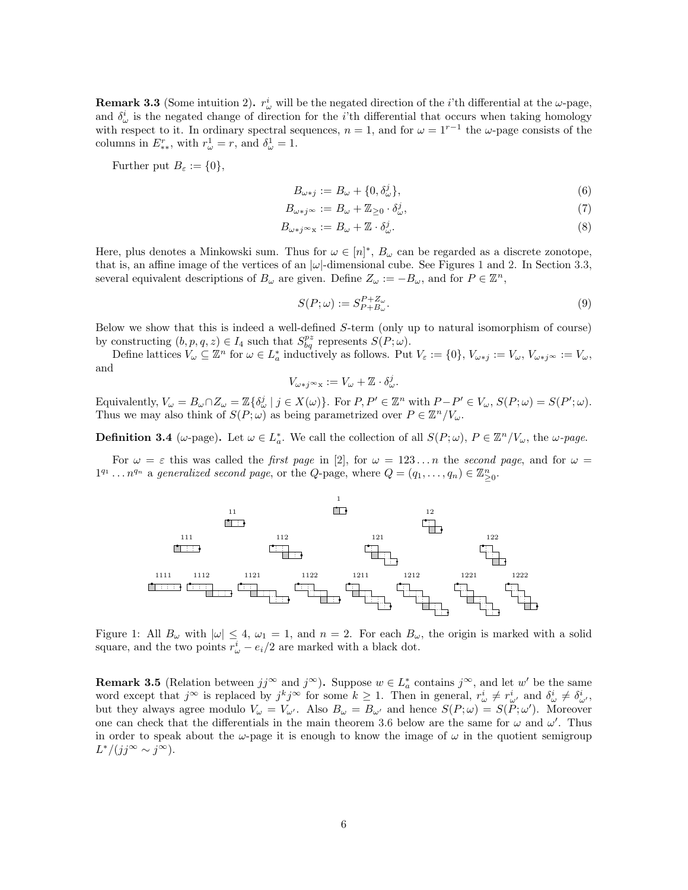**Remark 3.3** (Some intuition 2).  $r^i_\omega$  will be the negated direction of the *i*'th differential at the  $\omega$ -page, and  $\delta^i_\omega$  is the negated change of direction for the *i*'th differential that occurs when taking homology with respect to it. In ordinary spectral sequences,  $n = 1$ , and for  $\omega = 1^{r-1}$  the  $\omega$ -page consists of the columns in  $E_{**}^r$ , with  $r_\omega^1 = r$ , and  $\delta_\omega^1 = 1$ .

Further put  $B_{\varepsilon} := \{0\},\,$ 

<span id="page-5-1"></span>
$$
B_{\omega \ast j} := B_{\omega} + \{0, \delta_{\omega}^{j}\},\tag{6}
$$

$$
B_{\omega \ast j^{\infty}} := B_{\omega} + \mathbb{Z}_{\geq 0} \cdot \delta_{\omega}^{j},\tag{7}
$$

$$
B_{\omega * j \infty x} := B_{\omega} + \mathbb{Z} \cdot \delta_{\omega}^{j}.
$$
\n
$$
(8)
$$

Here, plus denotes a Minkowski sum. Thus for  $\omega \in [n]^*, B_{\omega}$  can be regarded as a discrete zonotope, that is, an affine image of the vertices of an  $|\omega|$ -dimensional cube. See Figures [1](#page-5-0) and [2.](#page-6-3) In Section [3.3,](#page-8-0) several equivalent descriptions of  $B_{\omega}$  are given. Define  $Z_{\omega} := -B_{\omega}$ , and for  $P \in \mathbb{Z}^n$ ,

$$
S(P; \omega) := S_{P+B_{\omega}}^{P+Z_{\omega}}.
$$
\n
$$
(9)
$$

Below we show that this is indeed a well-defined S-term (only up to natural isomorphism of course) by constructing  $(b, p, q, z) \in I_4$  such that  $S_{bq}^{pz}$  represents  $S(P; \omega)$ .

Define lattices  $V_\omega \subseteq \mathbb{Z}^n$  for  $\omega \in L_a^*$  inductively as follows. Put  $V_\varepsilon := \{0\}, V_{\omega * j} := V_\omega, V_{\omega * j} \omega := V_\omega$ , and

$$
V_{\omega \ast j \infty \mathbf{x}} := V_{\omega} + \mathbb{Z} \cdot \delta_{\omega}^j.
$$

Equivalently,  $V_{\omega} = B_{\omega} \cap Z_{\omega} = \mathbb{Z} \{ \delta_{\omega}^{j} \mid j \in X(\omega) \}$ . For  $P, P' \in \mathbb{Z}^{n}$  with  $P - P' \in V_{\omega}, S(P; \omega) = S(P'; \omega)$ . Thus we may also think of  $S(P; \omega)$  as being parametrized over  $P \in \mathbb{Z}^n / V_{\omega}$ .

**Definition 3.4** ( $\omega$ -page). Let  $\omega \in L_a^*$ . We call the collection of all  $S(P; \omega)$ ,  $P \in \mathbb{Z}^n / V_\omega$ , the  $\omega$ -page.

<span id="page-5-0"></span>For  $\omega = \varepsilon$  this was called the *first page* in [\[2\]](#page-12-0), for  $\omega = 123...n$  the second page, and for  $\omega =$  $1^{q_1} \dots n^{q_n}$  a generalized second page, or the Q-page, where  $Q = (q_1, \dots, q_n) \in \mathbb{Z}_{\geq 0}^n$ .



Figure 1: All  $B_{\omega}$  with  $|\omega| \leq 4$ ,  $\omega_1 = 1$ , and  $n = 2$ . For each  $B_{\omega}$ , the origin is marked with a solid square, and the two points  $r^i_\omega - e_i/2$  are marked with a black dot.

<span id="page-5-2"></span>**Remark 3.5** (Relation between  $jj^{\infty}$  and  $j^{\infty}$ ). Suppose  $w \in L^*_{a}$  contains  $j^{\infty}$ , and let  $w'$  be the same word except that  $j^{\infty}$  is replaced by  $j^{k}j^{\infty}$  for some  $k \geq 1$ . Then in general,  $r_{\omega}^{i} \neq r_{\omega'}^{i}$  and  $\delta_{\omega}^{i} \neq \delta_{\omega'}^{i}$ , but they always agree modulo  $V_\omega = V_{\omega'}$ . Also  $B_\omega = B_{\omega'}$  and hence  $S(P; \omega) = S(P; \omega')$ . Moreover one can check that the differentials in the main theorem [3.6](#page-6-0) below are the same for  $\omega$  and  $\omega'$ . Thus in order to speak about the  $\omega$ -page it is enough to know the image of  $\omega$  in the quotient semigroup  $L^*/(jj^{\infty} \sim j^{\infty}).$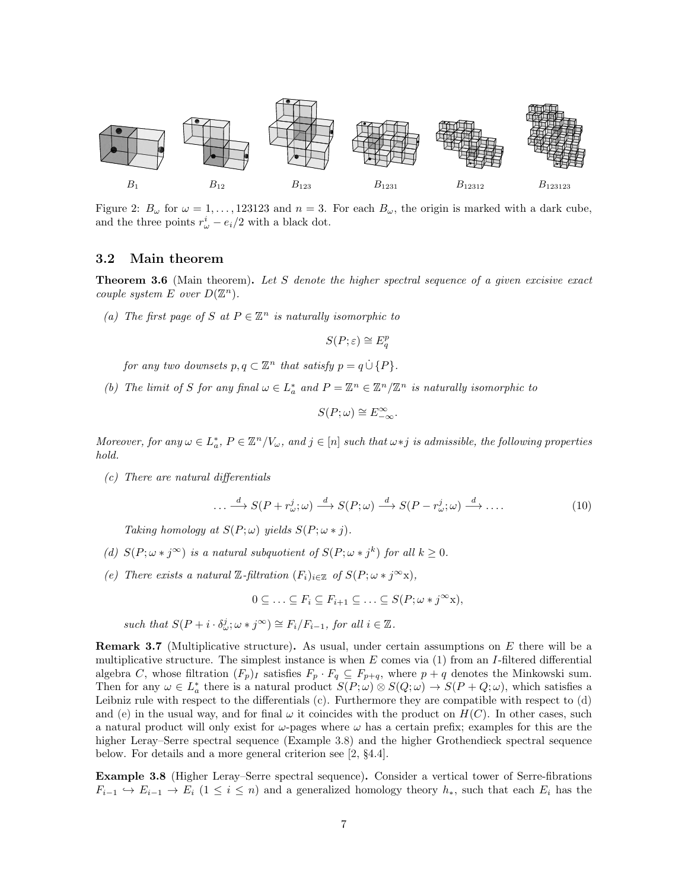<span id="page-6-3"></span>

Figure 2:  $B_{\omega}$  for  $\omega = 1, \ldots, 123123$  and  $n = 3$ . For each  $B_{\omega}$ , the origin is marked with a dark cube, and the three points  $r^i_\omega - e_i/2$  with a black dot.

### <span id="page-6-2"></span>3.2 Main theorem

<span id="page-6-0"></span>**Theorem 3.6** (Main theorem). Let S denote the higher spectral sequence of a given excisive exact couple system E over  $D(\mathbb{Z}^n)$ .

<span id="page-6-8"></span>(a) The first page of S at  $P \in \mathbb{Z}^n$  is naturally isomorphic to

 $S(P; \varepsilon) \cong E_q^p$ 

for any two downsets  $p, q \subset \mathbb{Z}^n$  that satisfy  $p = q \cup \{P\}.$ 

<span id="page-6-9"></span>(b) The limit of S for any final  $\omega \in L_a^*$  and  $P = \mathbb{Z}^n \in \mathbb{Z}^n / \mathbb{Z}^n$  is naturally isomorphic to

$$
S(P; \omega) \cong E_{-\infty}^{\infty}.
$$

Moreover, for any  $\omega \in L_a^*$ ,  $P \in \mathbb{Z}^n / V_\omega$ , and  $j \in [n]$  such that  $\omega * j$  is admissible, the following properties hold.

<span id="page-6-4"></span>(c) There are natural differentials

<span id="page-6-10"></span>
$$
\dots \xrightarrow{d} S(P + r_{\omega}^j; \omega) \xrightarrow{d} S(P; \omega) \xrightarrow{d} S(P - r_{\omega}^j; \omega) \xrightarrow{d} \dots \tag{10}
$$

Taking homology at  $S(P; \omega)$  yields  $S(P; \omega * j)$ .

- <span id="page-6-5"></span>(d)  $S(P; \omega * j^{\infty})$  is a natural subquotient of  $S(P; \omega * j^k)$  for all  $k \geq 0$ .
- <span id="page-6-1"></span>(e) There exists a natural  $\mathbb{Z}\text{-}filtration$   $(F_i)_{i\in\mathbb{Z}}$  of  $S(P;\omega * i^{\infty}x)$ ,

 $0 \subseteq \ldots \subseteq F_i \subseteq F_{i+1} \subseteq \ldots \subseteq S(P; \omega * j^{\infty}x),$ 

such that  $S(P + i \cdot \delta_{\omega}^j; \omega * j^{\infty}) \cong F_i/F_{i-1}$ , for all  $i \in \mathbb{Z}$ .

<span id="page-6-7"></span>**Remark 3.7** (Multiplicative structure). As usual, under certain assumptions on E there will be a multiplicative structure. The simplest instance is when  $E$  comes via [\(1\)](#page-2-1) from an I-filtered differential algebra C, whose filtration  $(F_p)_I$  satisfies  $F_p \cdot F_q \subseteq F_{p+q}$ , where  $p+q$  denotes the Minkowski sum. Then for any  $\omega \in L_a^*$  there is a natural product  $S(P; \omega) \otimes S(Q; \omega) \to S(P+Q; \omega)$ , which satisfies a Leibniz rule with respect to the differentials [\(c\).](#page-6-4) Furthermore they are compatible with respect to [\(d\)](#page-6-5) and [\(e\)](#page-6-1) in the usual way, and for final  $\omega$  it coincides with the product on  $H(C)$ . In other cases, such a natural product will only exist for  $\omega$ -pages where  $\omega$  has a certain prefix; examples for this are the higher Leray–Serre spectral sequence (Example [3.8\)](#page-6-6) and the higher Grothendieck spectral sequence below. For details and a more general criterion see [\[2,](#page-12-0) §4.4].

<span id="page-6-6"></span>Example 3.8 (Higher Leray–Serre spectral sequence). Consider a vertical tower of Serre-fibrations  $F_{i-1} \hookrightarrow E_{i-1} \to E_i$   $(1 \leq i \leq n)$  and a generalized homology theory  $h_*,$  such that each  $E_i$  has the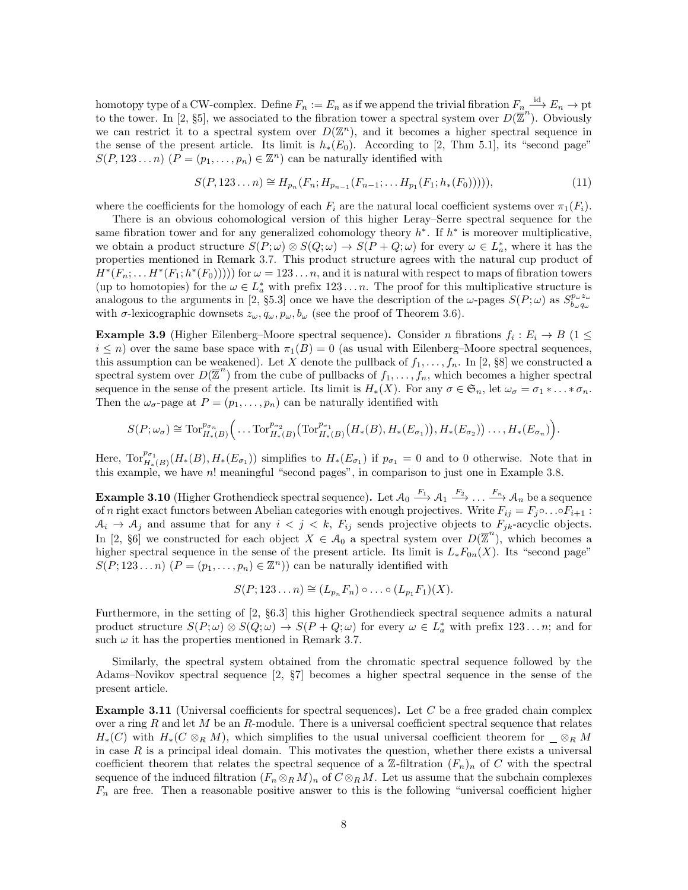homotopy type of a CW-complex. Define  $F_n := E_n$  as if we append the trivial fibration  $F_n \stackrel{\text{id}}{\longrightarrow} E_n \to \text{pt}$ to the tower. In [\[2,](#page-12-0) §5], we associated to the fibration tower a spectral system over  $D(\overline{\mathbb{Z}}^n)$ . Obviously we can restrict it to a spectral system over  $D(\mathbb{Z}^n)$ , and it becomes a higher spectral sequence in the sense of the present article. Its limit is  $h_*(E_0)$ . According to [\[2,](#page-12-0) Thm 5.1], its "second page"  $S(P, 123...n)$   $(P = (p_1,...,p_n) \in \mathbb{Z}^n)$  can be naturally identified with

$$
S(P, 123...n) \cong H_{p_n}(F_n; H_{p_{n-1}}(F_{n-1}; ... H_{p_1}(F_1; h_*(F_0))))),
$$
\n(11)

where the coefficients for the homology of each  $F_i$  are the natural local coefficient systems over  $\pi_1(F_i)$ .

There is an obvious cohomological version of this higher Leray–Serre spectral sequence for the same fibration tower and for any generalized cohomology theory  $h^*$ . If  $h^*$  is moreover multiplicative, we obtain a product structure  $S(P; \omega) \otimes S(Q; \omega) \to S(P+Q; \omega)$  for every  $\omega \in L_a^*$ , where it has the properties mentioned in Remark [3.7.](#page-6-7) This product structure agrees with the natural cup product of  $H^*(F_n; \ldots H^*(F_1; h^*(F_0))))$  for  $\omega = 123 \ldots n$ , and it is natural with respect to maps of fibration towers (up to homotopies) for the  $\omega \in L_a^*$  with prefix  $123...n$ . The proof for this multiplicative structure is analogous to the arguments in [\[2,](#page-12-0) §5.3] once we have the description of the  $\omega$ -pages  $S(P;\omega)$  as  $S_{b_\omega q_\omega}^{p_\omega z_\omega}$ with  $\sigma$ -lexicographic downsets  $z_{\omega}, q_{\omega}, p_{\omega}, b_{\omega}$  (see the proof of Theorem [3.6\)](#page-6-0).

**Example 3.9** (Higher Eilenberg–Moore spectral sequence). Consider n fibrations  $f_i : E_i \to B$  (1  $\leq$  $i \leq n$ ) over the same base space with  $\pi_1(B) = 0$  (as usual with Eilenberg–Moore spectral sequences, this assumption can be weakened). Let X denote the pullback of  $f_1, \ldots, f_n$ . In [\[2,](#page-12-0) §8] we constructed a spectral system over  $D(\overline{\mathbb{Z}}^n)$  from the cube of pullbacks of  $f_1, \ldots, f_n$ , which becomes a higher spectral sequence in the sense of the present article. Its limit is  $H_*(X)$ . For any  $\sigma \in \mathfrak{S}_n$ , let  $\omega_{\sigma} = \sigma_1 * \ldots * \sigma_n$ . Then the  $\omega_{\sigma}$ -page at  $P = (p_1, \ldots, p_n)$  can be naturally identified with

$$
S(P;\omega_{\sigma}) \cong \mathrm{Tor}_{H_*(B)}^{p_{\sigma_n}}(\ldots \mathrm{Tor}_{H_*(B)}^{p_{\sigma_2}}(\mathrm{Tor}_{H_*(B)}^{p_{\sigma_1}}(H_*(B),H_*(E_{\sigma_1})),H_*(E_{\sigma_2}))\ldots,H_*(E_{\sigma_n})\big).
$$

Here,  $\text{Tor}_{H_*(B)}^{p_{\sigma_1}}(H_*(B), H_*(E_{\sigma_1}))$  simplifies to  $H_*(E_{\sigma_1})$  if  $p_{\sigma_1} = 0$  and to 0 otherwise. Note that in this example, we have n! meaningful "second pages", in comparison to just one in Example [3.8.](#page-6-6)

**Example 3.10** (Higher Grothendieck spectral sequence). Let  $\mathcal{A}_0 \stackrel{F_1}{\longrightarrow} \mathcal{A}_1 \stackrel{F_2}{\longrightarrow} \ldots \stackrel{F_n}{\longrightarrow} \mathcal{A}_n$  be a sequence of n right exact functors between Abelian categories with enough projectives. Write  $F_{ij} = F_j \circ \dots \circ F_{i+1}$ :  $A_i \rightarrow A_j$  and assume that for any  $i < j < k$ ,  $F_{ij}$  sends projective objects to  $F_{jk}$ -acyclic objects. In [\[2,](#page-12-0) §6] we constructed for each object  $X \in \mathcal{A}_0$  a spectral system over  $D(\overline{\mathbb{Z}}^n)$ , which becomes a higher spectral sequence in the sense of the present article. Its limit is  $L_*F_{0n}(X)$ . Its "second page"  $S(P; 123...n)$   $(P = (p_1,...,p_n) \in \mathbb{Z}^n)$  can be naturally identified with

$$
S(P; 123...n) \cong (L_{p_n}F_n) \circ ... \circ (L_{p_1}F_1)(X).
$$

Furthermore, in the setting of [\[2,](#page-12-0) §6.3] this higher Grothendieck spectral sequence admits a natural product structure  $S(P; \omega) \otimes S(Q; \omega) \rightarrow S(P+Q; \omega)$  for every  $\omega \in L_a^*$  with prefix 123... *n*; and for such  $\omega$  it has the properties mentioned in Remark [3.7.](#page-6-7)

Similarly, the spectral system obtained from the chromatic spectral sequence followed by the Adams–Novikov spectral sequence [\[2,](#page-12-0) §7] becomes a higher spectral sequence in the sense of the present article.

Example 3.11 (Universal coefficients for spectral sequences). Let C be a free graded chain complex over a ring  $R$  and let  $M$  be an  $R$ -module. There is a universal coefficient spectral sequence that relates  $H_*(C)$  with  $H_*(C \otimes_R M)$ , which simplifies to the usual universal coefficient theorem for  $\otimes_R M$ in case  $R$  is a principal ideal domain. This motivates the question, whether there exists a universal coefficient theorem that relates the spectral sequence of a Z-filtration  $(F_n)_n$  of C with the spectral sequence of the induced filtration  $(F_n \otimes_R M)_n$  of  $C \otimes_R M$ . Let us assume that the subchain complexes  $F_n$  are free. Then a reasonable positive answer to this is the following "universal coefficient higher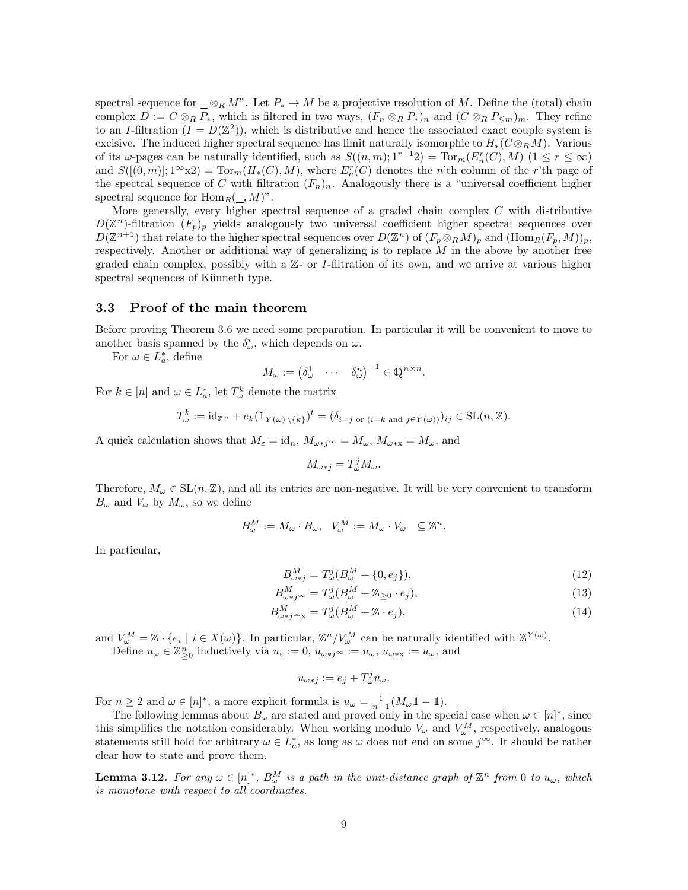spectral sequence for  $\otimes_R M$ ". Let  $P_* \to M$  be a projective resolution of M. Define the (total) chain complex  $D := C \otimes_R P_*$ , which is filtered in two ways,  $(F_n \otimes_R P_*)_n$  and  $(C \otimes_R P_{\leq m})_m$ . They refine to an *I*-filtration  $(I = D(\mathbb{Z}^2))$ , which is distributive and hence the associated exact couple system is excisive. The induced higher spectral sequence has limit naturally isomorphic to  $H_*(C \otimes_R M)$ . Various of its  $\omega$ -pages can be naturally identified, such as  $S((n, m); 1^{r-1}2) = \text{Tor}_m(E_n^r(C), M)$   $(1 \le r \le \infty)$ and  $S([[0,m)];1^{\infty}x2) = \text{Tor}_m(H_*(C), M)$ , where  $E_n^r(C)$  denotes the n'th column of the r'th page of the spectral sequence of C with filtration  $(F_n)_n$ . Analogously there is a "universal coefficient higher spectral sequence for  $\text{Hom}_R(\_,M)^n$ .

More generally, every higher spectral sequence of a graded chain complex  $C$  with distributive  $D(\mathbb{Z}^n)$ -filtration  $(F_p)_p$  yields analogously two universal coefficient higher spectral sequences over  $D(\mathbb{Z}^{n+1})$  that relate to the higher spectral sequences over  $D(\mathbb{Z}^n)$  of  $(F_p \otimes_R M)_p$  and  $(\text{Hom}_R(F_p, M))_p$ , respectively. Another or additional way of generalizing is to replace M in the above by another free graded chain complex, possibly with a  $\mathbb{Z}$ - or *I*-filtration of its own, and we arrive at various higher spectral sequences of Künneth type.

### <span id="page-8-0"></span>3.3 Proof of the main theorem

Before proving Theorem [3.6](#page-6-0) we need some preparation. In particular it will be convenient to move to another basis spanned by the  $\delta^i_\omega$ , which depends on  $\omega$ .

For  $\omega \in L^*_a$ , define

$$
M_{\omega} := \begin{pmatrix} \delta^1_{\omega} & \cdots & \delta^n_{\omega} \end{pmatrix}^{-1} \in \mathbb{Q}^{n \times n}.
$$

For  $k \in [n]$  and  $\omega \in L_a^*$ , let  $T_{\omega}^k$  denote the matrix

$$
T_{\omega}^k := \mathrm{id}_{\mathbb{Z}^n} + e_k (\mathbb{1}_{Y(\omega) \setminus \{k\}})^t = (\delta_{i=j \text{ or } (i=k \text{ and } j \in Y(\omega))})_{ij} \in \mathrm{SL}(n, \mathbb{Z}).
$$

A quick calculation shows that  $M_{\varepsilon} = id_n$ ,  $M_{\omega * j} \infty = M_{\omega}$ ,  $M_{\omega * x} = M_{\omega}$ , and

<span id="page-8-1"></span>
$$
M_{\omega * j} = T_{\omega}^{j} M_{\omega}.
$$

Therefore,  $M_{\omega} \in SL(n, \mathbb{Z})$ , and all its entries are non-negative. It will be very convenient to transform  $B_{\omega}$  and  $V_{\omega}$  by  $M_{\omega}$ , so we define

$$
B^M_\omega := M_\omega \cdot B_\omega, \quad V^M_\omega := M_\omega \cdot V_\omega \quad \subseteq \mathbb{Z}^n.
$$

In particular,

$$
B_{\omega * j}^{M} = T_{\omega}^{j} (B_{\omega}^{M} + \{0, e_{j}\}), \tag{12}
$$

$$
B_{\omega * j^{\infty}}^M = T_{\omega}^j (B_{\omega}^M + \mathbb{Z}_{\geq 0} \cdot e_j), \tag{13}
$$

$$
B_{\omega \ast j \infty}^{M} = T_{\omega}^{j} (B_{\omega}^{M} + \mathbb{Z} \cdot e_{j}), \qquad (14)
$$

and  $V_{\omega}^M = \mathbb{Z} \cdot \{e_i \mid i \in X(\omega)\}\$ . In particular,  $\mathbb{Z}^n / V_{\omega}^M$  can be naturally identified with  $\mathbb{Z}^{Y(\omega)}$ .

Define  $u_\omega \in \mathbb{Z}_{\geq 0}^n$  inductively via  $u_\varepsilon := 0$ ,  $u_{\omega \ast j^\infty} := u_\omega$ ,  $u_{\omega \ast x} := u_\omega$ , and

$$
u_{\omega * j} := e_j + T_{\omega}^j u_{\omega}.
$$

For  $n \geq 2$  and  $\omega \in [n]^*$ , a more explicit formula is  $u_{\omega} = \frac{1}{n-1}(M_{\omega} \mathbb{1} - \mathbb{1}).$ 

The following lemmas about  $B_{\omega}$  are stated and proved only in the special case when  $\omega \in [n]^*$ , since this simplifies the notation considerably. When working modulo  $V_{\omega}$  and  $V_{\omega}^M$ , respectively, analogous statements still hold for arbitrary  $\omega \in L_a^*$ , as long as  $\omega$  does not end on some  $j^{\infty}$ . It should be rather clear how to state and prove them.

**Lemma 3.12.** For any  $\omega \in [n]^*$ ,  $B^M_{\omega}$  is a path in the unit-distance graph of  $\mathbb{Z}^n$  from 0 to  $u_{\omega}$ , which is monotone with respect to all coordinates.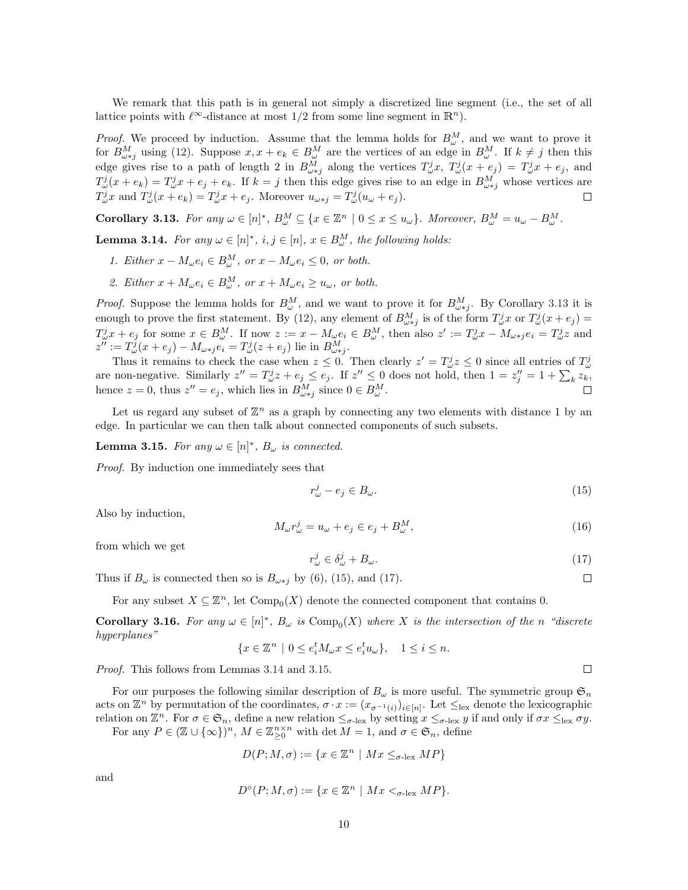We remark that this path is in general not simply a discretized line segment (i.e., the set of all lattice points with  $\ell^{\infty}$ -distance at most 1/2 from some line segment in  $\mathbb{R}^{n}$ ).

*Proof.* We proceed by induction. Assume that the lemma holds for  $B_{\omega}^M$ , and we want to prove it for  $B_{\omega * j}^M$  using [\(12\)](#page-8-1). Suppose  $x, x + e_k \in B_{\omega}^M$  are the vertices of an edge in  $B_{\omega}^M$ . If  $k \neq j$  then this edge gives rise to a path of length 2 in  $B^M_{\omega * j}$  along the vertices  $T^j_{\omega}x$ ,  $T^j_{\omega}(x+e_j) = T^j_{\omega}x + e_j$ , and  $T^j_\omega(x+e_k) = T^j_\omega x + e_j + e_k$ . If  $k = j$  then this edge gives rise to an edge in  $B^M_{\omega * j}$  whose vertices are  $T^j_\omega x$  and  $T^j_\omega(x+e_k) = T^j_\omega x + e_j$ . Moreover  $u_{\omega * j} = T^j_\omega(u_\omega + e_j)$ .  $\Box$ 

<span id="page-9-0"></span>**Corollary 3.13.** For any  $\omega \in [n]^*, B^M_{\omega} \subseteq \{x \in \mathbb{Z}^n \mid 0 \leq x \leq u_{\omega}\}\$ . Moreover,  $B^M_{\omega} = u_{\omega} - B^M_{\omega}$ .

<span id="page-9-3"></span>**Lemma 3.14.** For any  $\omega \in [n]^*, i, j \in [n]$ ,  $x \in B^M_{\omega}$ , the following holds:

- 1. Either  $x M_{\omega} e_i \in B_{\omega}^M$ , or  $x M_{\omega} e_i \leq 0$ , or both.
- 2. Either  $x + M_{\omega} e_i \in B_{\omega}^M$ , or  $x + M_{\omega} e_i \ge u_{\omega}$ , or both.

*Proof.* Suppose the lemma holds for  $B^M_\omega$ , and we want to prove it for  $B^M_{\omega * j}$ . By Corollary [3.13](#page-9-0) it is enough to prove the first statement. By [\(12\)](#page-8-1), any element of  $B_{\omega * j}^M$  is of the form  $T_{\omega}^j x$  or  $T_{\omega}^j (x+e_j) =$  $T_{\omega}^{j}x + e_j$  for some  $x \in B_{\omega}^{M}$ . If now  $z := x - M_{\omega}e_i \in B_{\omega}^{M}$ , then also  $z' := T_{\omega}^{j}x - M_{\omega * j}e_i = T_{\omega}^{j}z$  and  $z'':=T_{\omega}^j(x+e_j)-M_{\omega *j}e_i=T_{\omega}^j(z+e_j)$  lie in  $B_{\omega *j}^M$ .

Thus it remains to check the case when  $z \leq 0$ . Then clearly  $z' = T^j_\omega z \leq 0$  since all entries of  $T^j_\omega$ are non-negative. Similarly  $z'' = T^j_\omega z + e_j \le e_j$ . If  $z'' \le 0$  does not hold, then  $1 = z''_j = 1 + \sum_k z_k$ , hence  $z = 0$ , thus  $z'' = e_j$ , which lies in  $B_{\omega * j}^M$  since  $0 \in B_{\omega}^M$ .

Let us regard any subset of  $\mathbb{Z}^n$  as a graph by connecting any two elements with distance 1 by an edge. In particular we can then talk about connected components of such subsets.

<span id="page-9-4"></span>**Lemma 3.15.** For any  $\omega \in [n]^*, B_{\omega}$  is connected.

Proof. By induction one immediately sees that

<span id="page-9-1"></span>
$$
r^j_\omega - e_j \in B_\omega. \tag{15}
$$

Also by induction,

<span id="page-9-5"></span>
$$
M_{\omega}r_{\omega}^{j} = u_{\omega} + e_{j} \in e_{j} + B_{\omega}^{M}, \qquad (16)
$$

from which we get

<span id="page-9-2"></span>
$$
r^j_\omega \in \delta^j_\omega + B_\omega. \tag{17}
$$

Thus if  $B_{\omega}$  is connected then so is  $B_{\omega * j}$  by [\(6\)](#page-5-1), [\(15\)](#page-9-1), and [\(17\)](#page-9-2).

For any subset  $X \subseteq \mathbb{Z}^n$ , let  $\text{Comp}_0(X)$  denote the connected component that contains 0.

**Corollary 3.16.** For any  $\omega \in [n]^*$ ,  $B_{\omega}$  is  $\text{Comp}_0(X)$  where X is the intersection of the n "discrete" hyperplanes"

$$
\{x\in\mathbb{Z}^n\ |\ 0\leq e_i^tM_{\omega}x\leq e_i^tu_{\omega}\},\quad 1\leq i\leq n.
$$

Proof. This follows from Lemmas [3.14](#page-9-3) and [3.15.](#page-9-4)

For our purposes the following similar description of  $B_{\omega}$  is more useful. The symmetric group  $\mathfrak{S}_n$ acts on  $\mathbb{Z}^n$  by permutation of the coordinates,  $\sigma \cdot x := (x_{\sigma^{-1}(i)})_{i \in [n]}$ . Let  $\leq_{\text{lex}}$  denote the lexicographic relation on  $\mathbb{Z}^n$ . For  $\sigma \in \mathfrak{S}_n$ , define a new relation  $\leq_{\sigma-\text{lex}}$  by setting  $x \leq_{\sigma-\text{lex}} y$  if and only if  $\sigma x \leq_{\text{lex}} \sigma y$ .

For any  $P \in (\mathbb{Z} \cup {\{\infty\}})^n$ ,  $M \in \mathbb{Z}_{\geq 0}^{n \times n}$  with  $\det M = 1$ , and  $\sigma \in \mathfrak{S}_n$ , define

$$
D(P; M, \sigma) := \{ x \in \mathbb{Z}^n \mid Mx \leq_{\sigma-\text{lex}} MP \}
$$

and

$$
D^{\circ}(P;M,\sigma) := \{ x \in \mathbb{Z}^n \mid Mx <_{\sigma\text{-lex}} MP \}.
$$

 $\Box$ 

 $\Box$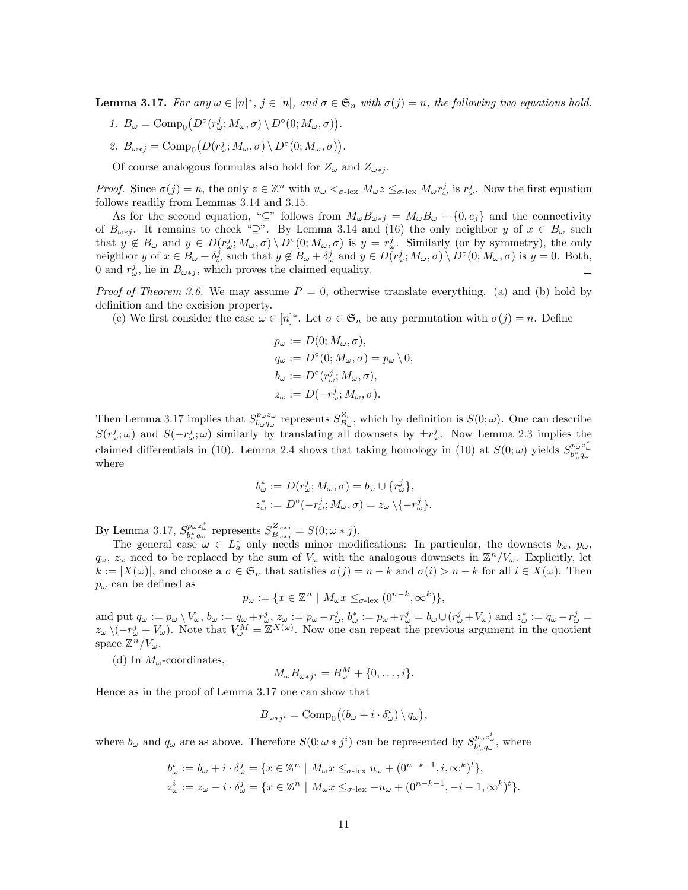<span id="page-10-0"></span>**Lemma 3.17.** For any  $\omega \in [n]^*, j \in [n]$ , and  $\sigma \in \mathfrak{S}_n$  with  $\sigma(j) = n$ , the following two equations hold.

- 1.  $B_{\omega} = \text{Comp}_{0}(D^{\circ}(r_{\omega}^{j}; M_{\omega}, \sigma) \setminus D^{\circ}(0; M_{\omega}, \sigma)).$
- 2.  $B_{\omega * j} = \text{Comp}_{0} (D(r_{\omega}^{j}; M_{\omega}, \sigma) \setminus D^{\circ}(0; M_{\omega}, \sigma)).$

Of course analogous formulas also hold for  $Z_{\omega}$  and  $Z_{\omega * j}$ .

*Proof.* Since  $\sigma(j) = n$ , the only  $z \in \mathbb{Z}^n$  with  $u_{\omega} < \sigma$ -lex  $M_{\omega} z \leq \sigma$ -lex  $M_{\omega} r_{\omega}^j$  is  $r_{\omega}^j$ . Now the first equation follows readily from Lemmas [3.14](#page-9-3) and [3.15.](#page-9-4)

As for the second equation, "⊆" follows from  $M_{\omega}B_{\omega * j} = M_{\omega}B_{\omega} + \{0, e_j\}$  and the connectivity of  $B_{\omega * j}$ . It remains to check "⊇". By Lemma [3.14](#page-9-3) and [\(16\)](#page-9-5) the only neighbor y of  $x \in B_{\omega}$  such that  $y \notin B_{\omega}$  and  $y \in D(r_{\omega}^j; M_{\omega}, \sigma) \setminus D^{\circ}(0; M_{\omega}, \sigma)$  is  $y = r_{\omega}^j$ . Similarly (or by symmetry), the only neighbor y of  $x \in B_\omega + \delta_\omega^j$  such that  $y \notin B_\omega + \delta_\omega^j$  and  $y \in D(r_\omega^j; M_\omega, \sigma) \setminus D^\circ(0; M_\omega, \sigma)$  is  $y = 0$ . Both, 0 and  $r_{\omega}^{j}$ , lie in  $B_{\omega * j}$ , which proves the claimed equality.  $\Box$ 

*Proof of Theorem [3.6.](#page-6-0)* We may assume  $P = 0$ , otherwise translate everything. [\(a\)](#page-6-8) and [\(b\)](#page-6-9) hold by definition and the excision property.

[\(c\)](#page-6-4) We first consider the case  $\omega \in [n]^*$ . Let  $\sigma \in \mathfrak{S}_n$  be any permutation with  $\sigma(j) = n$ . Define

$$
p_{\omega} := D(0; M_{\omega}, \sigma),
$$
  
\n
$$
q_{\omega} := D^{\circ}(0; M_{\omega}, \sigma) = p_{\omega} \setminus 0,
$$
  
\n
$$
b_{\omega} := D^{\circ}(r_{\omega}^{j}; M_{\omega}, \sigma),
$$
  
\n
$$
z_{\omega} := D(-r_{\omega}^{j}; M_{\omega}, \sigma).
$$

Then Lemma [3.17](#page-10-0) implies that  $S_{b_\omega q_\omega}^{p_\omega z_\omega}$  represents  $S_{B_\omega}^{Z_\omega}$ , which by definition is  $S(0;\omega)$ . One can describe  $S(r_{\omega}^j; \omega)$  and  $S(-r_{\omega}^j; \omega)$  similarly by translating all downsets by  $\pm r_{\omega}^j$ . Now Lemma [2.3](#page-3-0) implies the claimed differentials in [\(10\)](#page-6-10). Lemma [2.4](#page-3-1) shows that taking homology in (10) at  $S(0;\omega)$  yields  $S_{b^*_{\omega}q_{\omega}}^{p_{\omega}z_{\omega}^*}$ where

$$
b^*_{\omega} := D(r_{\omega}^j; M_{\omega}, \sigma) = b_{\omega} \cup \{r_{\omega}^j\},
$$
  

$$
z^*_{\omega} := D^{\circ}(-r_{\omega}^j; M_{\omega}, \sigma) = z_{\omega} \setminus \{-r_{\omega}^j\}.
$$

By Lemma [3.17,](#page-10-0)  $S_{b_w^*q_w}^{p_wz_w^*}$  represents  $S_{B_{\omega+j}}^{Z_{\omega+j}}$  $B_{\omega * j}^{2\omega * j} = S(0; \omega * j).$ 

The general case  $\omega \in L_a^*$  only needs minor modifications: In particular, the downsets  $b_{\omega}, p_{\omega}$ ,  $q_\omega$ ,  $z_\omega$  need to be replaced by the sum of  $V_\omega$  with the analogous downsets in  $\mathbb{Z}^n/V_\omega$ . Explicitly, let  $k := |X(\omega)|$ , and choose a  $\sigma \in \mathfrak{S}_n$  that satisfies  $\sigma(j) = n - k$  and  $\sigma(i) > n - k$  for all  $i \in X(\omega)$ . Then  $p_{\omega}$  can be defined as

$$
p_{\omega} := \{ x \in \mathbb{Z}^n \mid M_{\omega} x \leq_{\sigma \text{-lex}} (0^{n-k}, \infty^k) \},
$$

and put  $q_{\omega} := p_{\omega} \setminus V_{\omega}, b_{\omega} := q_{\omega} + r_{\omega}^j, z_{\omega} := p_{\omega} - r_{\omega}^j, b_{\omega}^* := p_{\omega} + r_{\omega}^j = b_{\omega} \cup (r_{\omega}^j + V_{\omega})$  and  $z_{\omega}^* := q_{\omega} - r_{\omega}^j =$  $z_{\omega} \setminus (-r_{\omega}^j + V_{\omega}).$  Note that  $V_{\omega}^M = \mathbb{Z}^{X(\omega)}$ . Now one can repeat the previous argument in the quotient space  $\mathbb{Z}^n/V_\omega$ .

[\(d\)](#page-6-5) In  $M_{\omega}$ -coordinates,

$$
M_{\omega}B_{\omega * j^i} = B_{\omega}^M + \{0, \ldots, i\}.
$$

Hence as in the proof of Lemma [3.17](#page-10-0) one can show that

$$
B_{\omega * j^i} = \text{Comp}_0((b_\omega + i \cdot \delta_\omega^i) \setminus q_\omega),
$$

where  $b_{\omega}$  and  $q_{\omega}$  are as above. Therefore  $S(0; \omega * j^i)$  can be represented by  $S_{b_{\omega}^i q_{\omega}}^{p_{\omega} z_{\omega}^i}$ , where

$$
b^i_{\omega} := b_{\omega} + i \cdot \delta^j_{\omega} = \{ x \in \mathbb{Z}^n \mid M_{\omega} x \leq_{\sigma - \text{lex}} u_{\omega} + (0^{n-k-1}, i, \infty^k)^t \},
$$
  

$$
z^i_{\omega} := z_{\omega} - i \cdot \delta^j_{\omega} = \{ x \in \mathbb{Z}^n \mid M_{\omega} x \leq_{\sigma - \text{lex}} - u_{\omega} + (0^{n-k-1}, -i - 1, \infty^k)^t \}.
$$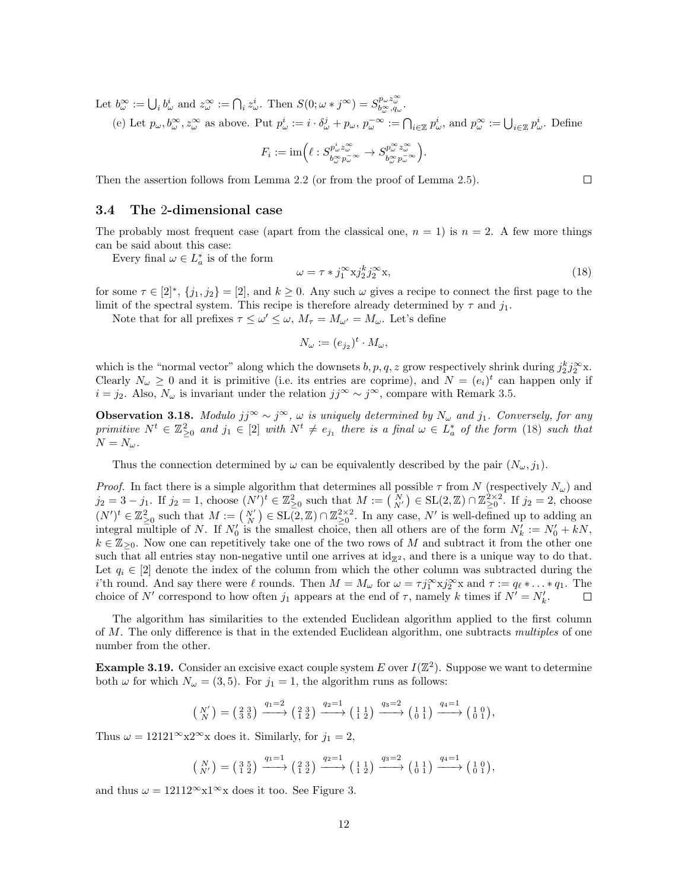Let  $b^{\infty}_{\omega} := \bigcup_i b^i_{\omega}$  and  $z^{\infty}_{\omega} := \bigcap_i z^i_{\omega}$ . Then  $S(0; \omega * j^{\infty}) = S^{p_{\omega} z^{\infty}_{\omega}}_{b^{\infty}_{\omega}, q_{\omega}}$  $_{b_{\omega}^{\infty},q_{\omega}}^{p_{\omega}z_{\omega}}.$ 

[\(e\)](#page-6-1) Let  $p_{\omega}, b_{\omega}^{\infty}, z_{\omega}^{\infty}$  as above. Put  $p_{\omega}^{i} := i \cdot \delta_{\omega}^{j} + p_{\omega}, p_{\omega}^{-\infty} := \bigcap_{i \in \mathbb{Z}} p_{\omega}^{i}$ , and  $p_{\omega}^{\infty} := \bigcup_{i \in \mathbb{Z}} p_{\omega}^{i}$ . Define

$$
F_i:=\mathrm{im}\Big(\ell:S^{p_{\omega}^i z_{\omega}^{\infty}}_{b_{\omega}^{\infty} p_{\omega}^{-\infty}}\to S^{p_{\omega}^{\infty} z_{\omega}^{\infty}}_{b_{\omega}^{\infty} p_{\omega}^{-\infty}}\Big).
$$

Then the assertion follows from Lemma [2.2](#page-3-2) (or from the proof of Lemma [2.5\)](#page-3-3).

#### <span id="page-11-0"></span>3.4 The 2-dimensional case

The probably most frequent case (apart from the classical one,  $n = 1$ ) is  $n = 2$ . A few more things can be said about this case:

Every final  $\omega \in L_a^*$  is of the form

<span id="page-11-1"></span>
$$
\omega = \tau * j_1^{\infty} x j_2^k j_2^{\infty} x,\tag{18}
$$

for some  $\tau \in [2]^*, \{j_1, j_2\} = [2]$ , and  $k \geq 0$ . Any such  $\omega$  gives a recipe to connect the first page to the limit of the spectral system. This recipe is therefore already determined by  $\tau$  and  $j_1$ .

Note that for all prefixes  $\tau \leq \omega' \leq \omega$ ,  $M_{\tau} = M_{\omega'} = M_{\omega}$ . Let's define

$$
N_{\omega} := (e_{j_2})^t \cdot M_{\omega},
$$

which is the "normal vector" along which the downsets  $b, p, q, z$  grow respectively shrink during  $j_2^k j_2^{\infty}$ x. Clearly  $N_{\omega} \geq 0$  and it is primitive (i.e. its entries are coprime), and  $N = (e_i)^t$  can happen only if  $i = j_2$ . Also,  $N_{\omega}$  is invariant under the relation  $jj^{\infty} \sim j^{\infty}$ , compare with Remark [3.5.](#page-5-2)

**Observation 3.18.** Modulo  $jj^{\infty} \sim j^{\infty}$ ,  $\omega$  is uniquely determined by  $N_{\omega}$  and  $j_1$ . Conversely, for any primitive  $N^t \in \mathbb{Z}_{\geq 0}^2$  and  $j_1 \in [2]$  with  $N^t \neq e_{j_1}$  there is a final  $\omega \in L_a^*$  of the form [\(18\)](#page-11-1) such that  $N = N_{\omega}$ .

Thus the connection determined by  $\omega$  can be equivalently described by the pair  $(N_{\omega}, j_1)$ .

*Proof.* In fact there is a simple algorithm that determines all possible  $\tau$  from N (respectively  $N_{\omega}$ ) and  $j_2 = 3 - j_1$ . If  $j_2 = 1$ , choose  $(N')^t \in \mathbb{Z}_{\geq 0}^2$  such that  $M := {N \choose N'} \in SL(2, \mathbb{Z}) \cap \mathbb{Z}_{\geq 0}^{2 \times 2}$ . If  $j_2 = 2$ , choose  $(N')^t \in \mathbb{Z}_{\geq 0}^2$  such that  $M := \begin{pmatrix} N' \\ N \end{pmatrix} \in SL(2, \mathbb{Z}) \cap \mathbb{Z}_{\geq 0}^{2 \times 2}$ . In any case, N' is well-defined up to adding an integral multiple of N. If  $N'_0$  is the smallest choice, then all others are of the form  $N'_k := N'_0 + kN$ ,  $k \in \mathbb{Z}_{\geq 0}$ . Now one can repetitively take one of the two rows of M and subtract it from the other one such that all entries stay non-negative until one arrives at  $\mathrm{id}_{\mathbb{Z}^2}$ , and there is a unique way to do that. Let  $q_i \in [2]$  denote the index of the column from which the other column was subtracted during the i'th round. And say there were  $\ell$  rounds. Then  $M = M_{\omega}$  for  $\omega = \tau j_1^{\infty} x j_2^{\infty} x$  and  $\tau := q_{\ell} * \ldots * q_1$ . The choice of N' correspond to how often  $j_1$  appears at the end of  $\tau$ , namely k times if  $N' = N'_k$ .  $\Box$ 

The algorithm has similarities to the extended Euclidean algorithm applied to the first column of M. The only difference is that in the extended Euclidean algorithm, one subtracts multiples of one number from the other.

**Example 3.19.** Consider an excisive exact couple system E over  $I(\mathbb{Z}^2)$ . Suppose we want to determine both  $\omega$  for which  $N_{\omega} = (3, 5)$ . For  $j_1 = 1$ , the algorithm runs as follows:

$$
\left(\begin{array}{c} N' \\ N \end{array}\right) = \left(\begin{array}{c} 2 & 3 \\ 3 & 5 \end{array}\right) \xrightarrow{q_1=2} \left(\begin{array}{c} 2 & 3 \\ 1 & 2 \end{array}\right) \xrightarrow{q_2=1} \left(\begin{array}{c} 1 & 1 \\ 1 & 2 \end{array}\right) \xrightarrow{q_3=2} \left(\begin{array}{c} 1 & 1 \\ 0 & 1 \end{array}\right) \xrightarrow{q_4=1} \left(\begin{array}{c} 1 & 0 \\ 0 & 1 \end{array}\right),
$$

Thus  $\omega = 12121^\infty \times 2^\infty$  a does it. Similarly, for  $j_1 = 2$ ,

$$
\begin{pmatrix} N \\ N' \end{pmatrix} = \begin{pmatrix} 3 & 5 \\ 1 & 2 \end{pmatrix} \xrightarrow{q_1 = 1} \begin{pmatrix} 2 & 3 \\ 1 & 2 \end{pmatrix} \xrightarrow{q_2 = 1} \begin{pmatrix} 1 & 1 \\ 1 & 2 \end{pmatrix} \xrightarrow{q_3 = 2} \begin{pmatrix} 1 & 1 \\ 0 & 1 \end{pmatrix} \xrightarrow{q_4 = 1} \begin{pmatrix} 1 & 0 \\ 0 & 1 \end{pmatrix},
$$

and thus  $\omega = 12112^\infty \times 1^\infty \times \infty$  does it too. See Figure [3.](#page-12-4)

 $\Box$